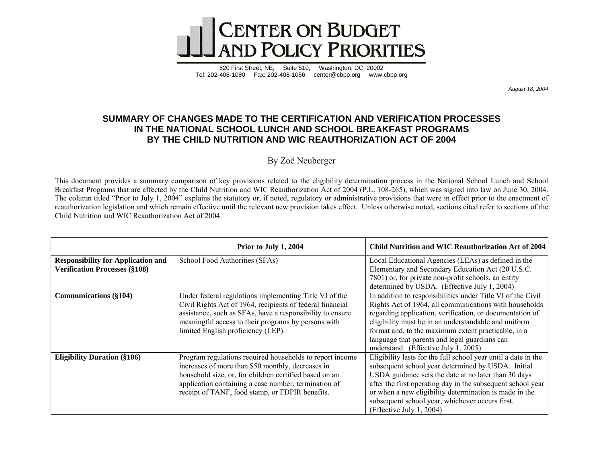

820 First Street, NE, Suite 510, Washington, DC 20002 Tel: 202-408-1080 Fax: 202-408-1056 center@cbpp.org www.cbpp.org

*August 18, 2004* 

## **SUMMARY OF CHANGES MADE TO THE CERTIFICATION AND VERIFICATION PROCESSES IN THE NATIONAL SCHOOL LUNCH AND SCHOOL BREAKFAST PROGRAMS BY THE CHILD NUTRITION AND WIC REAUTHORIZATION ACT OF 2004**

By Zoё Neuberger

This document provides a summary comparison of key provisions related to the eligibility determination process in the National School Lunch and School Breakfast Programs that are affected by the Child Nutrition and WIC Reauthorization Act of 2004 (P.L. 108-265), which was signed into law on June 30, 2004. The column titled "Prior to July 1, 2004" explains the statutory or, if noted, regulatory or administrative provisions that were in effect prior to the enactment of reauthorization legislation and which remain effective until the relevant new provision takes effect. Unless otherwise noted, sections cited refer to sections of the Child Nutrition and WIC Reauthorization Act of 2004.

|                                                                                   | Prior to July 1, 2004                                                                                                                                                                                                                                                              | <b>Child Nutrition and WIC Reauthorization Act of 2004</b>                                                                                                                                                                                                                                                                                                                                |
|-----------------------------------------------------------------------------------|------------------------------------------------------------------------------------------------------------------------------------------------------------------------------------------------------------------------------------------------------------------------------------|-------------------------------------------------------------------------------------------------------------------------------------------------------------------------------------------------------------------------------------------------------------------------------------------------------------------------------------------------------------------------------------------|
| <b>Responsibility for Application and</b><br><b>Verification Processes (§108)</b> | School Food Authorities (SFAs)                                                                                                                                                                                                                                                     | Local Educational Agencies (LEAs) as defined in the<br>Elementary and Secondary Education Act (20 U.S.C.<br>7801) or, for private non-profit schools, an entity<br>determined by USDA. (Effective July 1, 2004)                                                                                                                                                                           |
| <b>Communications</b> (§104)                                                      | Under federal regulations implementing Title VI of the<br>Civil Rights Act of 1964, recipients of federal financial<br>assistance, such as SFAs, have a responsibility to ensure<br>meaningful access to their programs by persons with<br>limited English proficiency (LEP).      | In addition to responsibilities under Title VI of the Civil<br>Rights Act of 1964, all communications with households<br>regarding application, verification, or documentation of<br>eligibility must be in an understandable and uniform<br>format and, to the maximum extent practicable, in a<br>language that parents and legal guardians can<br>understand. (Effective July 1, 2005) |
| <b>Eligibility Duration (§106)</b>                                                | Program regulations required households to report income<br>increases of more than \$50 monthly, decreases in<br>household size, or, for children certified based on an<br>application containing a case number, termination of<br>receipt of TANF, food stamp, or FDPIR benefits. | Eligibility lasts for the full school year until a date in the<br>subsequent school year determined by USDA. Initial<br>USDA guidance sets the date at no later than 30 days<br>after the first operating day in the subsequent school year<br>or when a new eligibility determination is made in the<br>subsequent school year, whichever occurs first.<br>(Effective July 1, 2004)      |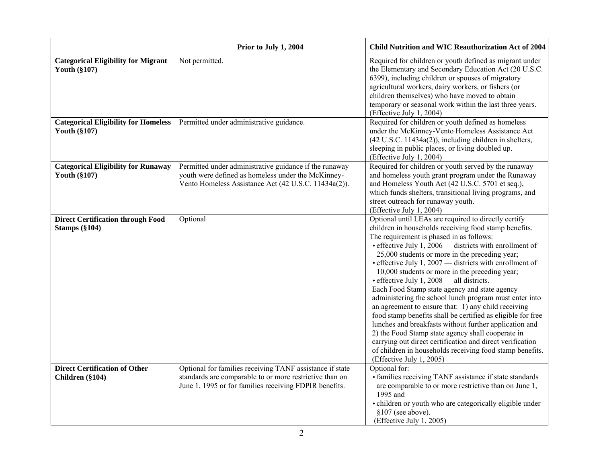|                                                                    | Prior to July 1, 2004                                                                                                                                                         | Child Nutrition and WIC Reauthorization Act of 2004                                                                                                                                                                                                                                                                                                                                                                                                                                                                                                                                                                                                                                                                                                                                                                                                                                                                                           |
|--------------------------------------------------------------------|-------------------------------------------------------------------------------------------------------------------------------------------------------------------------------|-----------------------------------------------------------------------------------------------------------------------------------------------------------------------------------------------------------------------------------------------------------------------------------------------------------------------------------------------------------------------------------------------------------------------------------------------------------------------------------------------------------------------------------------------------------------------------------------------------------------------------------------------------------------------------------------------------------------------------------------------------------------------------------------------------------------------------------------------------------------------------------------------------------------------------------------------|
| <b>Categorical Eligibility for Migrant</b><br><b>Youth (§107)</b>  | Not permitted.                                                                                                                                                                | Required for children or youth defined as migrant under<br>the Elementary and Secondary Education Act (20 U.S.C.<br>6399), including children or spouses of migratory<br>agricultural workers, dairy workers, or fishers (or<br>children themselves) who have moved to obtain<br>temporary or seasonal work within the last three years.<br>(Effective July 1, 2004)                                                                                                                                                                                                                                                                                                                                                                                                                                                                                                                                                                          |
| <b>Categorical Eligibility for Homeless</b><br><b>Youth (§107)</b> | Permitted under administrative guidance.                                                                                                                                      | Required for children or youth defined as homeless<br>under the McKinney-Vento Homeless Assistance Act<br>$(42 U.S.C. 11434a(2))$ , including children in shelters,<br>sleeping in public places, or living doubled up.<br>(Effective July 1, 2004)                                                                                                                                                                                                                                                                                                                                                                                                                                                                                                                                                                                                                                                                                           |
| <b>Categorical Eligibility for Runaway</b><br><b>Youth (§107)</b>  | Permitted under administrative guidance if the runaway<br>youth were defined as homeless under the McKinney-<br>Vento Homeless Assistance Act (42 U.S.C. 11434a(2)).          | Required for children or youth served by the runaway<br>and homeless youth grant program under the Runaway<br>and Homeless Youth Act (42 U.S.C. 5701 et seq.),<br>which funds shelters, transitional living programs, and<br>street outreach for runaway youth.<br>(Effective July 1, 2004)                                                                                                                                                                                                                                                                                                                                                                                                                                                                                                                                                                                                                                                   |
| <b>Direct Certification through Food</b><br><b>Stamps (§104)</b>   | Optional                                                                                                                                                                      | Optional until LEAs are required to directly certify<br>children in households receiving food stamp benefits.<br>The requirement is phased in as follows:<br>• effective July 1, 2006 — districts with enrollment of<br>25,000 students or more in the preceding year;<br>$\bullet$ effective July 1, 2007 — districts with enrollment of<br>10,000 students or more in the preceding year;<br>• effective July 1, 2008 - all districts.<br>Each Food Stamp state agency and state agency<br>administering the school lunch program must enter into<br>an agreement to ensure that: 1) any child receiving<br>food stamp benefits shall be certified as eligible for free<br>lunches and breakfasts without further application and<br>2) the Food Stamp state agency shall cooperate in<br>carrying out direct certification and direct verification<br>of children in households receiving food stamp benefits.<br>(Effective July 1, 2005) |
| <b>Direct Certification of Other</b><br>Children (§104)            | Optional for families receiving TANF assistance if state<br>standards are comparable to or more restrictive than on<br>June 1, 1995 or for families receiving FDPIR benefits. | Optional for:<br>• families receiving TANF assistance if state standards<br>are comparable to or more restrictive than on June 1,<br>1995 and<br>• children or youth who are categorically eligible under<br>$§107$ (see above).<br>(Effective July 1, 2005)                                                                                                                                                                                                                                                                                                                                                                                                                                                                                                                                                                                                                                                                                  |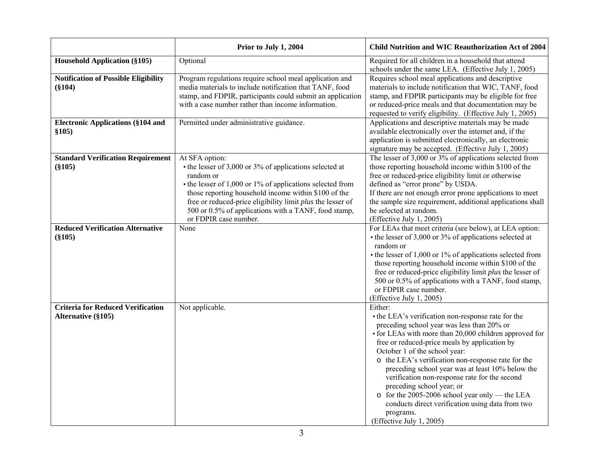|                                             | Prior to July 1, 2004                                                                                                 | Child Nutrition and WIC Reauthorization Act of 2004                                                              |
|---------------------------------------------|-----------------------------------------------------------------------------------------------------------------------|------------------------------------------------------------------------------------------------------------------|
| <b>Household Application (§105)</b>         | Optional                                                                                                              | Required for all children in a household that attend                                                             |
|                                             |                                                                                                                       | schools under the same LEA. (Effective July 1, 2005)                                                             |
| <b>Notification of Possible Eligibility</b> | Program regulations require school meal application and                                                               | Requires school meal applications and descriptive                                                                |
| $(\$104)$                                   | media materials to include notification that TANF, food<br>stamp, and FDPIR, participants could submit an application | materials to include notification that WIC, TANF, food<br>stamp, and FDPIR participants may be eligible for free |
|                                             | with a case number rather than income information.                                                                    | or reduced-price meals and that documentation may be                                                             |
|                                             |                                                                                                                       | requested to verify eligibility. (Effective July 1, 2005)                                                        |
| <b>Electronic Applications (§104 and</b>    | Permitted under administrative guidance.                                                                              | Applications and descriptive materials may be made                                                               |
| \$105)                                      |                                                                                                                       | available electronically over the internet and, if the                                                           |
|                                             |                                                                                                                       | application is submitted electronically, an electronic                                                           |
|                                             |                                                                                                                       | signature may be accepted. (Effective July 1, 2005)                                                              |
| <b>Standard Verification Requirement</b>    | At SFA option:                                                                                                        | The lesser of 3,000 or 3% of applications selected from                                                          |
| $(\$105)$                                   | $\bullet$ the lesser of 3,000 or 3% of applications selected at<br>random or                                          | those reporting household income within \$100 of the                                                             |
|                                             | $\bullet$ the lesser of 1,000 or 1% of applications selected from                                                     | free or reduced-price eligibility limit or otherwise<br>defined as "error prone" by USDA.                        |
|                                             | those reporting household income within \$100 of the                                                                  | If there are not enough error prone applications to meet                                                         |
|                                             | free or reduced-price eligibility limit plus the lesser of                                                            | the sample size requirement, additional applications shall                                                       |
|                                             | 500 or 0.5% of applications with a TANF, food stamp,                                                                  | be selected at random.                                                                                           |
|                                             | or FDPIR case number.                                                                                                 | (Effective July 1, 2005)                                                                                         |
| <b>Reduced Verification Alternative</b>     | None                                                                                                                  | For LEAs that meet criteria (see below), at LEA option:                                                          |
| $(\$105)$                                   |                                                                                                                       | $\bullet$ the lesser of 3,000 or 3% of applications selected at                                                  |
|                                             |                                                                                                                       | random or                                                                                                        |
|                                             |                                                                                                                       | $\bullet$ the lesser of 1,000 or 1% of applications selected from                                                |
|                                             |                                                                                                                       | those reporting household income within \$100 of the                                                             |
|                                             |                                                                                                                       | free or reduced-price eligibility limit plus the lesser of                                                       |
|                                             |                                                                                                                       | 500 or 0.5% of applications with a TANF, food stamp,<br>or FDPIR case number.                                    |
|                                             |                                                                                                                       | (Effective July 1, 2005)                                                                                         |
| <b>Criteria for Reduced Verification</b>    | Not applicable.                                                                                                       | Either:                                                                                                          |
| Alternative (§105)                          |                                                                                                                       | • the LEA's verification non-response rate for the                                                               |
|                                             |                                                                                                                       | preceding school year was less than 20% or                                                                       |
|                                             |                                                                                                                       | • for LEAs with more than 20,000 children approved for                                                           |
|                                             |                                                                                                                       | free or reduced-price meals by application by                                                                    |
|                                             |                                                                                                                       | October 1 of the school year:                                                                                    |
|                                             |                                                                                                                       | o the LEA's verification non-response rate for the                                                               |
|                                             |                                                                                                                       | preceding school year was at least 10% below the                                                                 |
|                                             |                                                                                                                       | verification non-response rate for the second                                                                    |
|                                             |                                                                                                                       | preceding school year; or                                                                                        |
|                                             |                                                                                                                       | o for the 2005-2006 school year only — the LEA                                                                   |
|                                             |                                                                                                                       | conducts direct verification using data from two<br>programs.                                                    |
|                                             |                                                                                                                       | (Effective July 1, 2005)                                                                                         |
|                                             |                                                                                                                       |                                                                                                                  |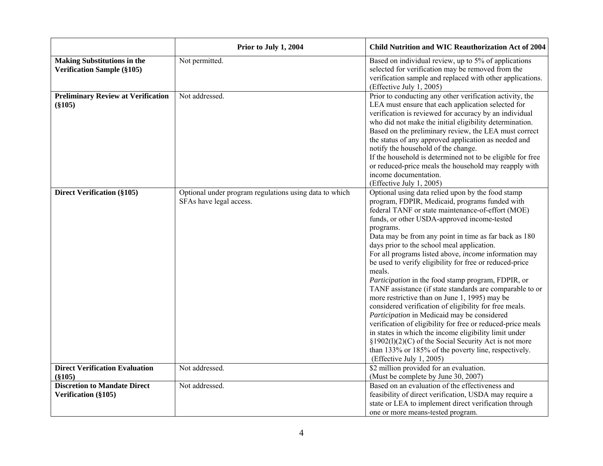|                                                                         | Prior to July 1, 2004                                                             | <b>Child Nutrition and WIC Reauthorization Act of 2004</b>                                                                                                                                                                                                                                                                                                                                                                                                                                                                                                                                                                                                                                                                                                                                                                                                                                                                                                                                                        |
|-------------------------------------------------------------------------|-----------------------------------------------------------------------------------|-------------------------------------------------------------------------------------------------------------------------------------------------------------------------------------------------------------------------------------------------------------------------------------------------------------------------------------------------------------------------------------------------------------------------------------------------------------------------------------------------------------------------------------------------------------------------------------------------------------------------------------------------------------------------------------------------------------------------------------------------------------------------------------------------------------------------------------------------------------------------------------------------------------------------------------------------------------------------------------------------------------------|
| <b>Making Substitutions in the</b><br><b>Verification Sample (§105)</b> | Not permitted.                                                                    | Based on individual review, up to 5% of applications<br>selected for verification may be removed from the<br>verification sample and replaced with other applications.<br>(Effective July 1, 2005)                                                                                                                                                                                                                                                                                                                                                                                                                                                                                                                                                                                                                                                                                                                                                                                                                |
| <b>Preliminary Review at Verification</b><br>$(\$105)$                  | Not addressed.                                                                    | Prior to conducting any other verification activity, the<br>LEA must ensure that each application selected for<br>verification is reviewed for accuracy by an individual<br>who did not make the initial eligibility determination.<br>Based on the preliminary review, the LEA must correct<br>the status of any approved application as needed and<br>notify the household of the change.<br>If the household is determined not to be eligible for free<br>or reduced-price meals the household may reapply with<br>income documentation.<br>(Effective July 1, 2005)                                                                                                                                                                                                                                                                                                                                                                                                                                           |
| <b>Direct Verification (§105)</b>                                       | Optional under program regulations using data to which<br>SFAs have legal access. | Optional using data relied upon by the food stamp<br>program, FDPIR, Medicaid, programs funded with<br>federal TANF or state maintenance-of-effort (MOE)<br>funds, or other USDA-approved income-tested<br>programs.<br>Data may be from any point in time as far back as 180<br>days prior to the school meal application.<br>For all programs listed above, <i>income</i> information may<br>be used to verify eligibility for free or reduced-price<br>meals.<br>Participation in the food stamp program, FDPIR, or<br>TANF assistance (if state standards are comparable to or<br>more restrictive than on June 1, 1995) may be<br>considered verification of eligibility for free meals.<br>Participation in Medicaid may be considered<br>verification of eligibility for free or reduced-price meals<br>in states in which the income eligibility limit under<br>§1902(1)(2)(C) of the Social Security Act is not more<br>than 133% or 185% of the poverty line, respectively.<br>(Effective July 1, 2005) |
| <b>Direct Verification Evaluation</b><br>$(\$105)$                      | Not addressed.                                                                    | \$2 million provided for an evaluation.<br>(Must be complete by June 30, 2007)                                                                                                                                                                                                                                                                                                                                                                                                                                                                                                                                                                                                                                                                                                                                                                                                                                                                                                                                    |
| <b>Discretion to Mandate Direct</b><br>Verification (§105)              | Not addressed.                                                                    | Based on an evaluation of the effectiveness and<br>feasibility of direct verification, USDA may require a<br>state or LEA to implement direct verification through<br>one or more means-tested program.                                                                                                                                                                                                                                                                                                                                                                                                                                                                                                                                                                                                                                                                                                                                                                                                           |